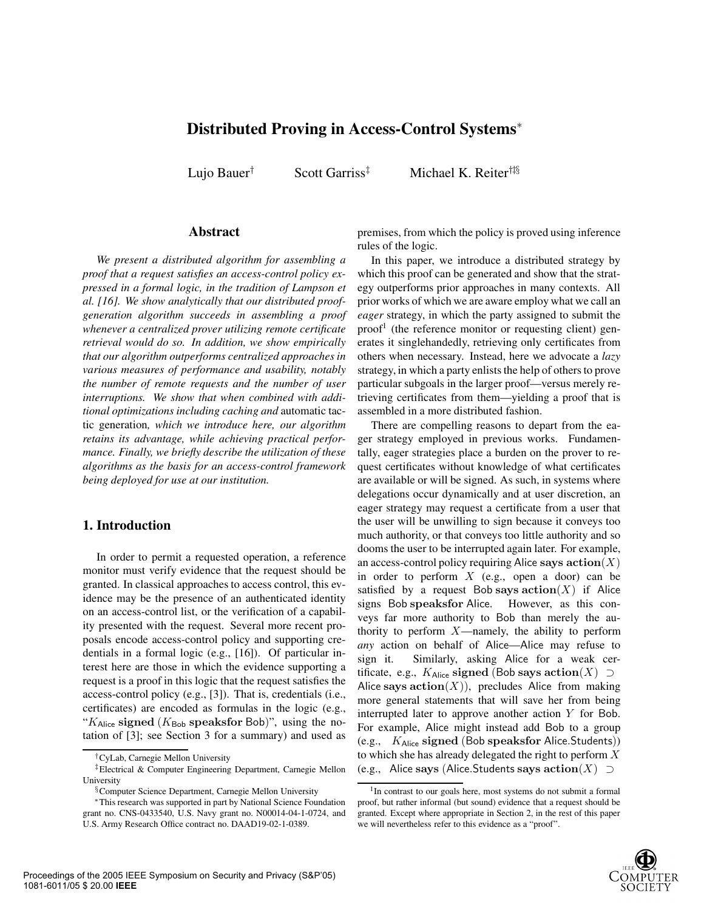# **Distributed Proving in Access-Control Systems**<sup>∗</sup>

Lujo Bauer<sup>†</sup> Scott Garriss<sup>‡</sup> Michael K. Reiter<sup>†‡§</sup>

#### **Abstract**

*We present a distributed algorithm for assembling a proof that a request satisfies an access-control policy expressed in a formal logic, in the tradition of Lampson et al. [16]. We show analytically that our distributed proofgeneration algorithm succeeds in assembling a proof whenever a centralized prover utilizing remote certificate retrieval would do so. In addition, we show empirically that our algorithm outperforms centralized approaches in various measures of performance and usability, notably the number of remote requests and the number of user interruptions. We show that when combined with additional optimizations including caching and* automatic tactic generation*, which we introduce here, our algorithm retains its advantage, while achieving practical performance. Finally, we briefly describe the utilization of these algorithms as the basis for an access-control framework being deployed for use at our institution.*

# **1. Introduction**

In order to permit a requested operation, a reference monitor must verify evidence that the request should be granted. In classical approaches to access control, this evidence may be the presence of an authenticated identity on an access-control list, or the verification of a capability presented with the request. Several more recent proposals encode access-control policy and supporting credentials in a formal logic (e.g., [16]). Of particular interest here are those in which the evidence supporting a request is a proof in this logic that the request satisfies the access-control policy (e.g., [3]). That is, credentials (i.e., certificates) are encoded as formulas in the logic (e.g., " $K_{\text{Alice}}$  **signed** ( $K_{\text{Bob}}$  **speaksfor** Bob)", using the notation of [3]; see Section 3 for a summary) and used as

premises, from which the policy is proved using inference rules of the logic.

In this paper, we introduce a distributed strategy by which this proof can be generated and show that the strategy outperforms prior approaches in many contexts. All prior works of which we are aware employ what we call an *eager* strategy, in which the party assigned to submit the proof<sup>1</sup> (the reference monitor or requesting client) generates it singlehandedly, retrieving only certificates from others when necessary. Instead, here we advocate a *lazy* strategy, in which a party enlists the help of others to prove particular subgoals in the larger proof—versus merely retrieving certificates from them—yielding a proof that is assembled in a more distributed fashion.

There are compelling reasons to depart from the eager strategy employed in previous works. Fundamentally, eager strategies place a burden on the prover to request certificates without knowledge of what certificates are available or will be signed. As such, in systems where delegations occur dynamically and at user discretion, an eager strategy may request a certificate from a user that the user will be unwilling to sign because it conveys too much authority, or that conveys too little authority and so dooms the user to be interrupted again later. For example, an access-control policy requiring Alice **says action**(X) in order to perform  $X$  (e.g., open a door) can be satisfied by a request Bob says  $\arctan(X)$  if Alice signs Bob **speaksfor** Alice. However, as this conveys far more authority to Bob than merely the authority to perform  $X$ —namely, the ability to perform *any* action on behalf of Alice—Alice may refuse to sign it. Similarly, asking Alice for a weak certificate, e.g.,  $K_{Alice}$  **signed** (Bob **says**  $\textbf{action}(X)$  ⊃ Alice says  $\text{action}(X)$ ), precludes Alice from making more general statements that will save her from being interrupted later to approve another action Y for Bob. For example, Alice might instead add Bob to a group (e.g., KAlice **signed** (Bob **speaksfor** Alice.Students)) to which she has already delegated the right to perform X (e.g., Alice **says** (Alice.Students **says action**(X) <sup>⊃</sup>

 $1$ In contrast to our goals here, most systems do not submit a formal proof, but rather informal (but sound) evidence that a request should be granted. Except where appropriate in Section 2, in the rest of this paper we will nevertheless refer to this evidence as a "proof".



<sup>†</sup>CyLab, Carnegie Mellon University

<sup>‡</sup>Electrical & Computer Engineering Department, Carnegie Mellon University

<sup>§</sup>Computer Science Department, Carnegie Mellon University

<sup>∗</sup>This research was supported in part by National Science Foundation grant no. CNS-0433540, U.S. Navy grant no. N00014-04-1-0724, and U.S. Army Research Office contract no. DAAD19-02-1-0389.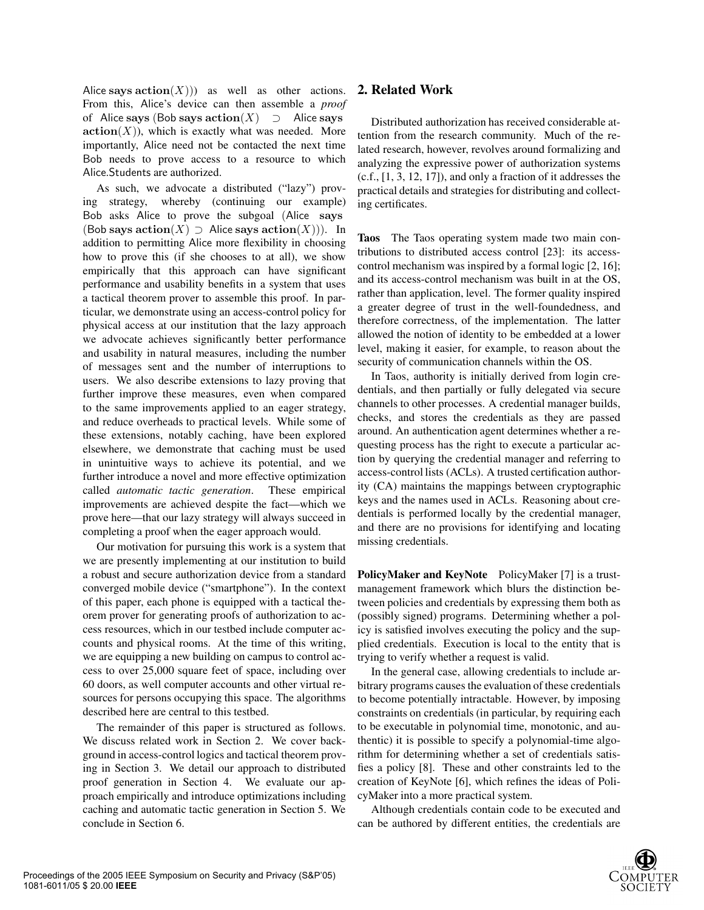Alice **says**  $\text{action}(X)$ ) as well as other actions. From this, Alice's device can then assemble a *proof* of Alice **says** (Bob **says action**(X) <sup>⊃</sup> Alice **says**  $\arctan(X)$ ), which is exactly what was needed. More importantly, Alice need not be contacted the next time Bob needs to prove access to a resource to which Alice.Students are authorized.

As such, we advocate a distributed ("lazy") proving strategy, whereby (continuing our example) Bob asks Alice to prove the subgoal (Alice **says** (Bob **says action**(X) <sup>⊃</sup> Alice **says action**(X))). In addition to permitting Alice more flexibility in choosing how to prove this (if she chooses to at all), we show empirically that this approach can have significant performance and usability benefits in a system that uses a tactical theorem prover to assemble this proof. In particular, we demonstrate using an access-control policy for physical access at our institution that the lazy approach we advocate achieves significantly better performance and usability in natural measures, including the number of messages sent and the number of interruptions to users. We also describe extensions to lazy proving that further improve these measures, even when compared to the same improvements applied to an eager strategy, and reduce overheads to practical levels. While some of these extensions, notably caching, have been explored elsewhere, we demonstrate that caching must be used in unintuitive ways to achieve its potential, and we further introduce a novel and more effective optimization called *automatic tactic generation*. These empirical improvements are achieved despite the fact—which we prove here—that our lazy strategy will always succeed in completing a proof when the eager approach would.

Our motivation for pursuing this work is a system that we are presently implementing at our institution to build a robust and secure authorization device from a standard converged mobile device ("smartphone"). In the context of this paper, each phone is equipped with a tactical theorem prover for generating proofs of authorization to access resources, which in our testbed include computer accounts and physical rooms. At the time of this writing, we are equipping a new building on campus to control access to over 25,000 square feet of space, including over 60 doors, as well computer accounts and other virtual resources for persons occupying this space. The algorithms described here are central to this testbed.

The remainder of this paper is structured as follows. We discuss related work in Section 2. We cover background in access-control logics and tactical theorem proving in Section 3. We detail our approach to distributed proof generation in Section 4. We evaluate our approach empirically and introduce optimizations including caching and automatic tactic generation in Section 5. We conclude in Section 6.

# **2. Related Work**

Distributed authorization has received considerable attention from the research community. Much of the related research, however, revolves around formalizing and analyzing the expressive power of authorization systems (c.f., [1, 3, 12, 17]), and only a fraction of it addresses the practical details and strategies for distributing and collecting certificates.

**Taos** The Taos operating system made two main contributions to distributed access control [23]: its accesscontrol mechanism was inspired by a formal logic [2, 16]; and its access-control mechanism was built in at the OS, rather than application, level. The former quality inspired a greater degree of trust in the well-foundedness, and therefore correctness, of the implementation. The latter allowed the notion of identity to be embedded at a lower level, making it easier, for example, to reason about the security of communication channels within the OS.

In Taos, authority is initially derived from login credentials, and then partially or fully delegated via secure channels to other processes. A credential manager builds, checks, and stores the credentials as they are passed around. An authentication agent determines whether a requesting process has the right to execute a particular action by querying the credential manager and referring to access-control lists (ACLs). A trusted certification authority (CA) maintains the mappings between cryptographic keys and the names used in ACLs. Reasoning about credentials is performed locally by the credential manager, and there are no provisions for identifying and locating missing credentials.

**PolicyMaker and KeyNote** PolicyMaker [7] is a trustmanagement framework which blurs the distinction between policies and credentials by expressing them both as (possibly signed) programs. Determining whether a policy is satisfied involves executing the policy and the supplied credentials. Execution is local to the entity that is trying to verify whether a request is valid.

In the general case, allowing credentials to include arbitrary programs causes the evaluation of these credentials to become potentially intractable. However, by imposing constraints on credentials (in particular, by requiring each to be executable in polynomial time, monotonic, and authentic) it is possible to specify a polynomial-time algorithm for determining whether a set of credentials satisfies a policy [8]. These and other constraints led to the creation of KeyNote [6], which refines the ideas of PolicyMaker into a more practical system.

Although credentials contain code to be executed and can be authored by different entities, the credentials are

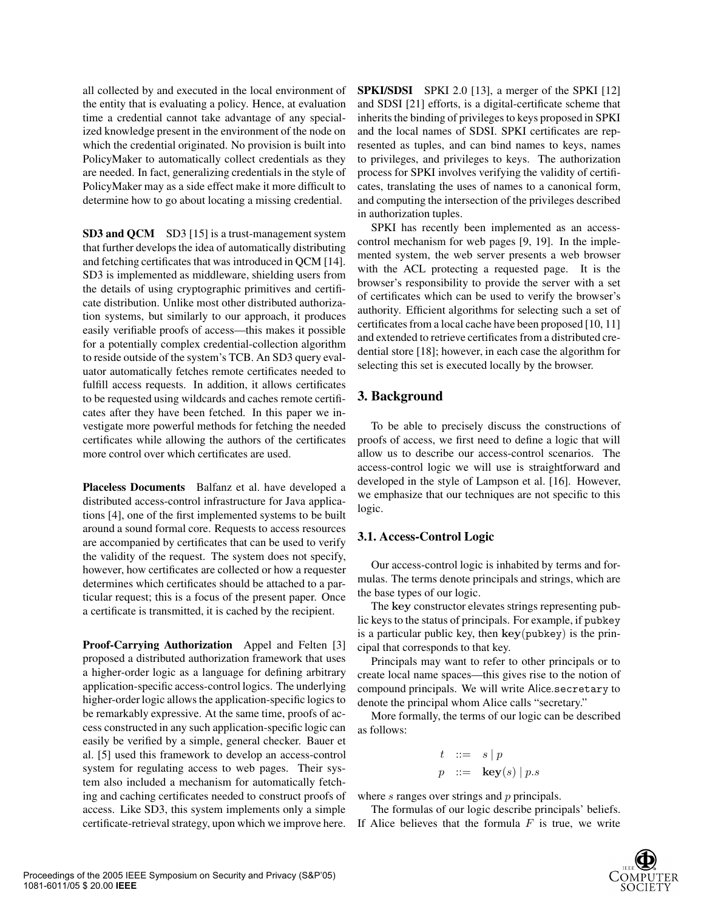all collected by and executed in the local environment of the entity that is evaluating a policy. Hence, at evaluation time a credential cannot take advantage of any specialized knowledge present in the environment of the node on which the credential originated. No provision is built into PolicyMaker to automatically collect credentials as they are needed. In fact, generalizing credentials in the style of PolicyMaker may as a side effect make it more difficult to determine how to go about locating a missing credential.

**SD3 and QCM** SD3 [15] is a trust-management system that further develops the idea of automatically distributing and fetching certificates that was introduced in QCM [14]. SD3 is implemented as middleware, shielding users from the details of using cryptographic primitives and certificate distribution. Unlike most other distributed authorization systems, but similarly to our approach, it produces easily verifiable proofs of access—this makes it possible for a potentially complex credential-collection algorithm to reside outside of the system's TCB. An SD3 query evaluator automatically fetches remote certificates needed to fulfill access requests. In addition, it allows certificates to be requested using wildcards and caches remote certificates after they have been fetched. In this paper we investigate more powerful methods for fetching the needed certificates while allowing the authors of the certificates more control over which certificates are used.

**Placeless Documents** Balfanz et al. have developed a distributed access-control infrastructure for Java applications [4], one of the first implemented systems to be built around a sound formal core. Requests to access resources are accompanied by certificates that can be used to verify the validity of the request. The system does not specify, however, how certificates are collected or how a requester determines which certificates should be attached to a particular request; this is a focus of the present paper. Once a certificate is transmitted, it is cached by the recipient.

**Proof-Carrying Authorization** Appel and Felten [3] proposed a distributed authorization framework that uses a higher-order logic as a language for defining arbitrary application-specific access-control logics. The underlying higher-order logic allows the application-specific logics to be remarkably expressive. At the same time, proofs of access constructed in any such application-specific logic can easily be verified by a simple, general checker. Bauer et al. [5] used this framework to develop an access-control system for regulating access to web pages. Their system also included a mechanism for automatically fetching and caching certificates needed to construct proofs of access. Like SD3, this system implements only a simple certificate-retrieval strategy, upon which we improve here.

**SPKI/SDSI** SPKI 2.0 [13], a merger of the SPKI [12] and SDSI [21] efforts, is a digital-certificate scheme that inherits the binding of privileges to keys proposed in SPKI and the local names of SDSI. SPKI certificates are represented as tuples, and can bind names to keys, names to privileges, and privileges to keys. The authorization process for SPKI involves verifying the validity of certificates, translating the uses of names to a canonical form, and computing the intersection of the privileges described in authorization tuples.

SPKI has recently been implemented as an accesscontrol mechanism for web pages [9, 19]. In the implemented system, the web server presents a web browser with the ACL protecting a requested page. It is the browser's responsibility to provide the server with a set of certificates which can be used to verify the browser's authority. Efficient algorithms for selecting such a set of certificates from a local cache have been proposed [10, 11] and extended to retrieve certificates from a distributed credential store [18]; however, in each case the algorithm for selecting this set is executed locally by the browser.

# **3. Background**

To be able to precisely discuss the constructions of proofs of access, we first need to define a logic that will allow us to describe our access-control scenarios. The access-control logic we will use is straightforward and developed in the style of Lampson et al. [16]. However, we emphasize that our techniques are not specific to this logic.

# **3.1. Access-Control Logic**

Our access-control logic is inhabited by terms and formulas. The terms denote principals and strings, which are the base types of our logic.

The **key** constructor elevates strings representing public keys to the status of principals. For example, if pubkey is a particular public key, then **key**(pubkey) is the principal that corresponds to that key.

Principals may want to refer to other principals or to create local name spaces—this gives rise to the notion of compound principals. We will write Alice.secretary to denote the principal whom Alice calls "secretary."

More formally, the terms of our logic can be described as follows:

$$
\begin{array}{rcl}\nt & ::= & s \mid p \\
p & ::= & \mathbf{key}(s) \mid p.s\n\end{array}
$$

where  $s$  ranges over strings and  $p$  principals.

The formulas of our logic describe principals' beliefs. If Alice believes that the formula  $F$  is true, we write

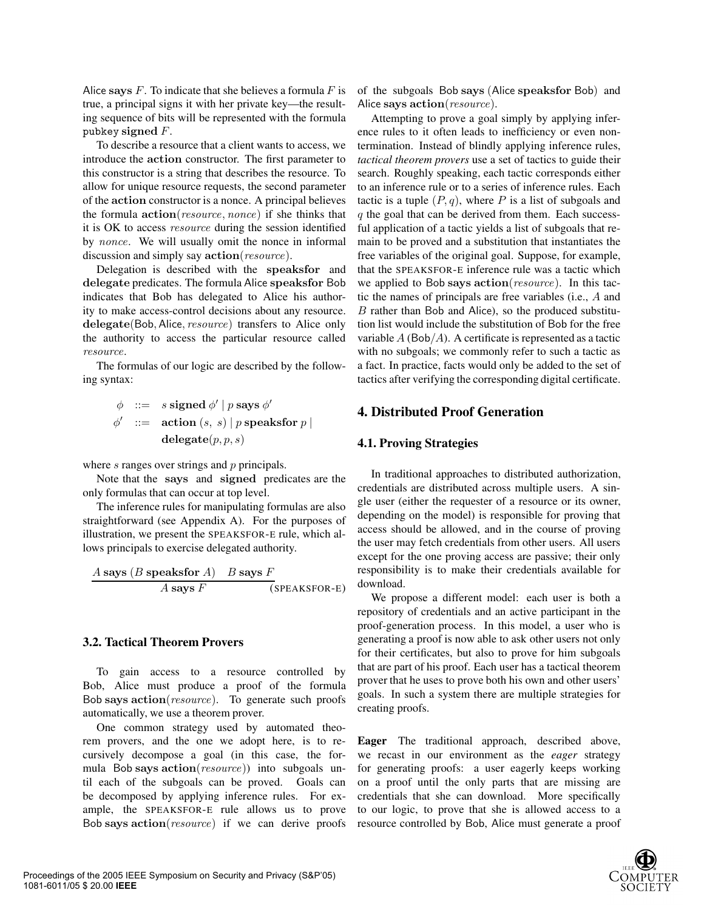Alice says  $F$ . To indicate that she believes a formula  $F$  is true, a principal signs it with her private key—the resulting sequence of bits will be represented with the formula pubkey **signed** F.

To describe a resource that a client wants to access, we introduce the **action** constructor. The first parameter to this constructor is a string that describes the resource. To allow for unique resource requests, the second parameter of the **action** constructor is a nonce. A principal believes the formula **action**(resource, nonce) if she thinks that it is OK to access resource during the session identified by nonce. We will usually omit the nonce in informal discussion and simply say **action**(resource).

Delegation is described with the **speaksfor** and **delegate** predicates. The formula Alice **speaksfor** Bob indicates that Bob has delegated to Alice his authority to make access-control decisions about any resource. **delegate**(Bob, Alice, resource) transfers to Alice only the authority to access the particular resource called resource.

The formulas of our logic are described by the following syntax:

$$
\begin{array}{rcl} \phi & ::= & s \text{ signed } \phi' \mid p \text{ says } \phi' \\ \phi' & ::= & \text{action } (s, \, s) \mid p \text{ speakersfor } p \mid \\ & & \text{delegate}(p, p, s) \end{array}
$$

where *s* ranges over strings and *p* principals.

Note that the **says** and **signed** predicates are the only formulas that can occur at top level.

The inference rules for manipulating formulas are also straightforward (see Appendix A). For the purposes of illustration, we present the SPEAKSFOR-E rule, which allows principals to exercise delegated authority.

$$
\frac{A \text{ says } (B \text{ speakers for } A) \quad B \text{ says } F}{A \text{ says } F}
$$
 (SPEAKSFOR-E)

#### **3.2. Tactical Theorem Provers**

To gain access to a resource controlled by Bob, Alice must produce a proof of the formula Bob **says action**(resource). To generate such proofs automatically, we use a theorem prover.

One common strategy used by automated theorem provers, and the one we adopt here, is to recursively decompose a goal (in this case, the formula Bob says  $action(resource)$  into subgoals until each of the subgoals can be proved. Goals can be decomposed by applying inference rules. For example, the SPEAKSFOR-E rule allows us to prove Bob **says action**(resource) if we can derive proofs of the subgoals Bob **says** (Alice **speaksfor** Bob) and Alice **says action**(resource).

Attempting to prove a goal simply by applying inference rules to it often leads to inefficiency or even nontermination. Instead of blindly applying inference rules, *tactical theorem provers* use a set of tactics to guide their search. Roughly speaking, each tactic corresponds either to an inference rule or to a series of inference rules. Each tactic is a tuple  $(P, q)$ , where P is a list of subgoals and  $q$  the goal that can be derived from them. Each successful application of a tactic yields a list of subgoals that remain to be proved and a substitution that instantiates the free variables of the original goal. Suppose, for example, that the SPEAKSFOR-E inference rule was a tactic which we applied to Bob **says action**(resource). In this tactic the names of principals are free variables (i.e., A and B rather than Bob and Alice), so the produced substitution list would include the substitution of Bob for the free variable  $A$  (Bob/ $A$ ). A certificate is represented as a tactic with no subgoals; we commonly refer to such a tactic as a fact. In practice, facts would only be added to the set of tactics after verifying the corresponding digital certificate.

# **4. Distributed Proof Generation**

#### **4.1. Proving Strategies**

In traditional approaches to distributed authorization, credentials are distributed across multiple users. A single user (either the requester of a resource or its owner, depending on the model) is responsible for proving that access should be allowed, and in the course of proving the user may fetch credentials from other users. All users except for the one proving access are passive; their only responsibility is to make their credentials available for download.

We propose a different model: each user is both a repository of credentials and an active participant in the proof-generation process. In this model, a user who is generating a proof is now able to ask other users not only for their certificates, but also to prove for him subgoals that are part of his proof. Each user has a tactical theorem prover that he uses to prove both his own and other users' goals. In such a system there are multiple strategies for creating proofs.

**Eager** The traditional approach, described above, we recast in our environment as the *eager* strategy for generating proofs: a user eagerly keeps working on a proof until the only parts that are missing are credentials that she can download. More specifically to our logic, to prove that she is allowed access to a resource controlled by Bob, Alice must generate a proof

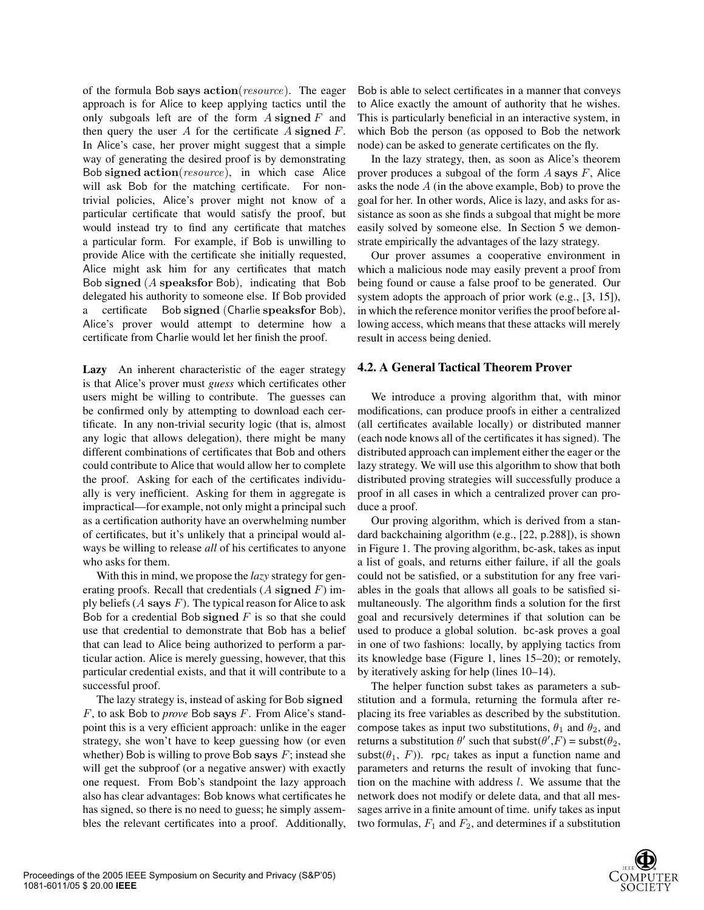of the formula Bob **says action**(resource). The eager approach is for Alice to keep applying tactics until the only subgoals left are of the form A **signed** F and then query the user A for the certificate A **signed** F. In Alice's case, her prover might suggest that a simple way of generating the desired proof is by demonstrating Bob **signed action**(resource), in which case Alice will ask Bob for the matching certificate. For nontrivial policies, Alice's prover might not know of a particular certificate that would satisfy the proof, but would instead try to find any certificate that matches a particular form. For example, if Bob is unwilling to provide Alice with the certificate she initially requested, Alice might ask him for any certificates that match Bob **signed** (A **speaksfor** Bob), indicating that Bob delegated his authority to someone else. If Bob provided a certificate Bob **signed** (Charlie **speaksfor** Bob), Alice's prover would attempt to determine how a certificate from Charlie would let her finish the proof.

**Lazy** An inherent characteristic of the eager strategy is that Alice's prover must *guess* which certificates other users might be willing to contribute. The guesses can be confirmed only by attempting to download each certificate. In any non-trivial security logic (that is, almost any logic that allows delegation), there might be many different combinations of certificates that Bob and others could contribute to Alice that would allow her to complete the proof. Asking for each of the certificates individually is very inefficient. Asking for them in aggregate is impractical—for example, not only might a principal such as a certification authority have an overwhelming number of certificates, but it's unlikely that a principal would always be willing to release *all* of his certificates to anyone who asks for them.

With this in mind, we propose the *lazy* strategy for generating proofs. Recall that credentials (A **signed** F) imply beliefs (A **says** F). The typical reason for Alice to ask Bob for a credential Bob **signed** F is so that she could use that credential to demonstrate that Bob has a belief that can lead to Alice being authorized to perform a particular action. Alice is merely guessing, however, that this particular credential exists, and that it will contribute to a successful proof.

The lazy strategy is, instead of asking for Bob **signed** F, to ask Bob to *prove* Bob **says** F. From Alice's standpoint this is a very efficient approach: unlike in the eager strategy, she won't have to keep guessing how (or even whether) Bob is willing to prove Bob **says** F; instead she will get the subproof (or a negative answer) with exactly one request. From Bob's standpoint the lazy approach also has clear advantages: Bob knows what certificates he has signed, so there is no need to guess; he simply assembles the relevant certificates into a proof. Additionally,

Bob is able to select certificates in a manner that conveys to Alice exactly the amount of authority that he wishes. This is particularly beneficial in an interactive system, in which Bob the person (as opposed to Bob the network node) can be asked to generate certificates on the fly.

In the lazy strategy, then, as soon as Alice's theorem prover produces a subgoal of the form A **says** F, Alice asks the node A (in the above example, Bob) to prove the goal for her. In other words, Alice is lazy, and asks for assistance as soon as she finds a subgoal that might be more easily solved by someone else. In Section 5 we demonstrate empirically the advantages of the lazy strategy.

Our prover assumes a cooperative environment in which a malicious node may easily prevent a proof from being found or cause a false proof to be generated. Our system adopts the approach of prior work (e.g., [3, 15]), in which the reference monitor verifies the proof before allowing access, which means that these attacks will merely result in access being denied.

### **4.2. A General Tactical Theorem Prover**

We introduce a proving algorithm that, with minor modifications, can produce proofs in either a centralized (all certificates available locally) or distributed manner (each node knows all of the certificates it has signed). The distributed approach can implement either the eager or the lazy strategy. We will use this algorithm to show that both distributed proving strategies will successfully produce a proof in all cases in which a centralized prover can produce a proof.

Our proving algorithm, which is derived from a standard backchaining algorithm (e.g., [22, p.288]), is shown in Figure 1. The proving algorithm, bc-ask, takes as input a list of goals, and returns either failure, if all the goals could not be satisfied, or a substitution for any free variables in the goals that allows all goals to be satisfied simultaneously. The algorithm finds a solution for the first goal and recursively determines if that solution can be used to produce a global solution. bc-ask proves a goal in one of two fashions: locally, by applying tactics from its knowledge base (Figure 1, lines 15–20); or remotely, by iteratively asking for help (lines 10–14).

The helper function subst takes as parameters a substitution and a formula, returning the formula after replacing its free variables as described by the substitution. compose takes as input two substitutions,  $\theta_1$  and  $\theta_2$ , and returns a substitution  $\theta'$  such that subst $(\theta', F)$  = subst $(\theta_2,$ subst( $\theta_1$ , F)). rpc<sub>l</sub> takes as input a function name and parameters and returns the result of invoking that function on the machine with address  $l$ . We assume that the network does not modify or delete data, and that all messages arrive in a finite amount of time. unify takes as input two formulas,  $F_1$  and  $F_2$ , and determines if a substitution

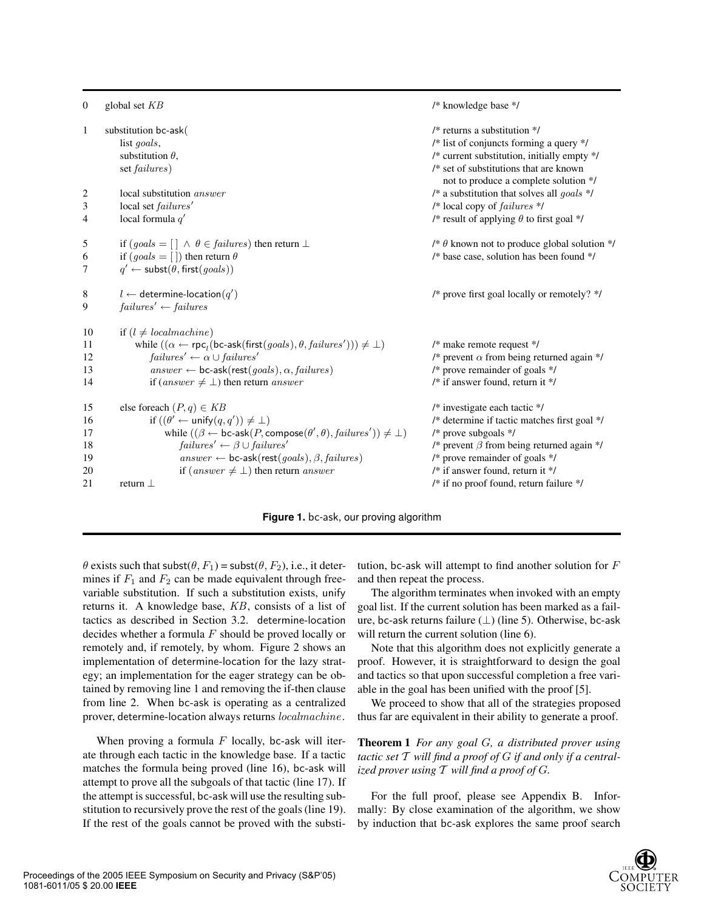| $\overline{0}$                         | global set KB                                                                                                                                                                                                                                                                                                                                                                         | /* knowledge base */                                                                                                                                                                                                                                                              |
|----------------------------------------|---------------------------------------------------------------------------------------------------------------------------------------------------------------------------------------------------------------------------------------------------------------------------------------------------------------------------------------------------------------------------------------|-----------------------------------------------------------------------------------------------------------------------------------------------------------------------------------------------------------------------------------------------------------------------------------|
| $\mathbf{1}$                           | substitution bc-ask(<br>list goals,<br>substitution $\theta$ ,<br>set failures)                                                                                                                                                                                                                                                                                                       | $/*$ returns a substitution $*/$<br>/* list of conjuncts forming a query */<br>/* current substitution, initially empty */<br>/* set of substitutions that are known<br>not to produce a complete solution */                                                                     |
| $\overline{c}$<br>3<br>4               | local substitution <i>answer</i><br>local set failures'<br>local formula $q'$                                                                                                                                                                                                                                                                                                         | /* a substitution that solves all <i>goals</i> */<br>/* local copy of failures */<br>/* result of applying $\theta$ to first goal */                                                                                                                                              |
| 5<br>6<br>7                            | if $(goals = [] \wedge \theta \in failures)$ then return $\perp$<br>if $(goals = []$ then return $\theta$<br>$q' \leftarrow \textsf{subst}(\theta, \textsf{first}(goals))$                                                                                                                                                                                                            | /* $\theta$ known not to produce global solution */<br>/* base case, solution has been found */                                                                                                                                                                                   |
| 8<br>9                                 | $l \leftarrow$ determine-location(q')<br>$failures' \leftarrow failures$                                                                                                                                                                                                                                                                                                              | /* prove first goal locally or remotely? */                                                                                                                                                                                                                                       |
| 10<br>11<br>12<br>13<br>14             | if $(l \neq local machine)$<br>while $((\alpha \leftarrow \text{rpc}_l(\text{bc-ask}(first(gools), \theta, failures')) ) \neq \bot)$<br>$failures' \leftarrow \alpha \cup failures'$<br>answer $\leftarrow$ bc-ask(rest(goals), $\alpha$ , failures)<br>if $(answer \neq \bot)$ then return answer                                                                                    | $/*$ make remote request $*/$<br>/* prevent $\alpha$ from being returned again */<br>$/*$ prove remainder of goals $*/$<br>/* if answer found, return it */                                                                                                                       |
| 15<br>16<br>17<br>18<br>19<br>20<br>21 | else foreach $(P, q) \in KB$<br>if $((\theta' \leftarrow \text{unify}(q, q')) \neq \bot)$<br>while $((\beta \leftarrow \text{bc-ask}(P, \text{compose}(\theta', \theta), \text{failures'})) \neq \bot)$<br>$failures' \leftarrow \beta \cup failures'$<br>answer $\leftarrow$ bc-ask(rest(goals), $\beta$ , failures)<br>if $(answer \neq \bot)$ then return answer<br>return $\perp$ | /* investigate each tactic */<br>/* determine if tactic matches first goal */<br>$/*$ prove subgoals $*/$<br>/* prevent $\beta$ from being returned again */<br>$/*$ prove remainder of goals $*/$<br>/* if answer found, return it */<br>/* if no proof found, return failure */ |



 $\theta$  exists such that subst $(\theta, F_1)$  = subst $(\theta, F_2)$ , i.e., it determines if  $F_1$  and  $F_2$  can be made equivalent through freevariable substitution. If such a substitution exists, unify returns it. A knowledge base, KB, consists of a list of tactics as described in Section 3.2. determine-location decides whether a formula  $F$  should be proved locally or remotely and, if remotely, by whom. Figure 2 shows an implementation of determine-location for the lazy strategy; an implementation for the eager strategy can be obtained by removing line 1 and removing the if-then clause from line 2. When bc-ask is operating as a centralized prover, determine-location always returns localmachine.

When proving a formula  $F$  locally, bc-ask will iterate through each tactic in the knowledge base. If a tactic matches the formula being proved (line 16), bc-ask will attempt to prove all the subgoals of that tactic (line 17). If the attempt is successful, bc-ask will use the resulting substitution to recursively prove the rest of the goals (line 19). If the rest of the goals cannot be proved with the substitution, bc-ask will attempt to find another solution for  $F$ and then repeat the process.

The algorithm terminates when invoked with an empty goal list. If the current solution has been marked as a failure, bc-ask returns failure  $(\perp)$  (line 5). Otherwise, bc-ask will return the current solution (line 6).

Note that this algorithm does not explicitly generate a proof. However, it is straightforward to design the goal and tactics so that upon successful completion a free variable in the goal has been unified with the proof [5].

We proceed to show that all of the strategies proposed thus far are equivalent in their ability to generate a proof.

**Theorem 1** *For any goal* G*, a distributed prover using tactic set* T *will find a proof of* G *if and only if a centralized prover using* T *will find a proof of* G*.*

For the full proof, please see Appendix B. Informally: By close examination of the algorithm, we show by induction that bc-ask explores the same proof search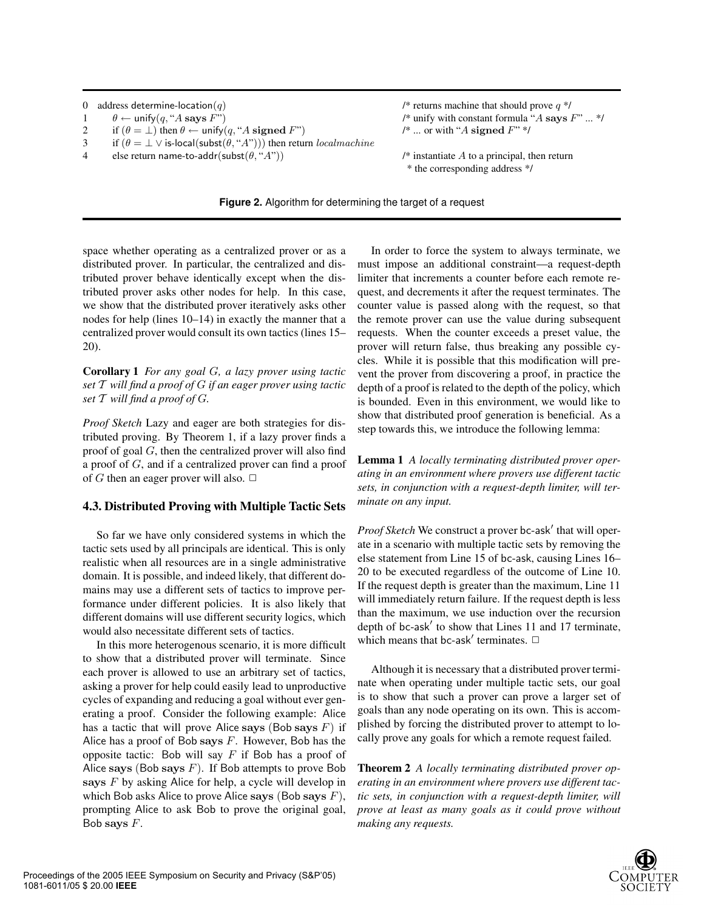0 address determine-location(q)  $\frac{1}{2}$  /\* returns machine that should prove q \*/ 1  $\theta$  ← unify(*q*, "*A* **says** *F*")<br>
2 if  $(\theta = \bot)$  then  $\theta$  ← unify(*q*, "*A* **signed** *F*")<br>
<sup>\*</sup> ... or with "*A* **signed** *F*"<sup>\*</sup>/<br>
<sup>\*</sup> ... or with "*A* **signed** *F*"<sup>\*</sup>/ 2 if  $(\theta = \bot)$  then  $\theta \leftarrow \text{unify}(q, "A \text{ signed } F")$ <br>3 if  $(\theta = \bot \vee \text{ is-local}(\text{subst}(\theta, "A")))$  then return 3 if  $(\theta = \bot \vee \text{ is-local}(\text{subst}(\theta, \text{``}A\text{''}))$  then return *localmachine*<br>4 else return name-to-addr(subst( $\theta$ . "A")) else return name-to-addr(subst( $\theta$ , "A"))  $\qquad$  /\* instantiate A to a principal, then return

\* the corresponding address \*/

**Figure 2.** Algorithm for determining the target of a request

space whether operating as a centralized prover or as a distributed prover. In particular, the centralized and distributed prover behave identically except when the distributed prover asks other nodes for help. In this case, we show that the distributed prover iteratively asks other nodes for help (lines 10–14) in exactly the manner that a centralized prover would consult its own tactics (lines 15– 20).

**Corollary 1** *For any goal* G*, a lazy prover using tactic set* T *will find a proof of* G *if an eager prover using tactic set* T *will find a proof of* G*.*

*Proof Sketch* Lazy and eager are both strategies for distributed proving. By Theorem 1, if a lazy prover finds a proof of goal G, then the centralized prover will also find a proof of G, and if a centralized prover can find a proof of G then an eager prover will also.  $\Box$ 

# **4.3. Distributed Proving with Multiple Tactic Sets**

So far we have only considered systems in which the tactic sets used by all principals are identical. This is only realistic when all resources are in a single administrative domain. It is possible, and indeed likely, that different domains may use a different sets of tactics to improve performance under different policies. It is also likely that different domains will use different security logics, which would also necessitate different sets of tactics.

In this more heterogenous scenario, it is more difficult to show that a distributed prover will terminate. Since each prover is allowed to use an arbitrary set of tactics, asking a prover for help could easily lead to unproductive cycles of expanding and reducing a goal without ever generating a proof. Consider the following example: Alice has a tactic that will prove Alice **says** (Bob **says** F) if Alice has a proof of Bob **says** F. However, Bob has the opposite tactic: Bob will say  $F$  if Bob has a proof of Alice **says** (Bob **says** F). If Bob attempts to prove Bob **says** F by asking Alice for help, a cycle will develop in which Bob asks Alice to prove Alice **says** (Bob **says** F), prompting Alice to ask Bob to prove the original goal, Bob **says** F.

In order to force the system to always terminate, we must impose an additional constraint—a request-depth limiter that increments a counter before each remote request, and decrements it after the request terminates. The counter value is passed along with the request, so that the remote prover can use the value during subsequent requests. When the counter exceeds a preset value, the prover will return false, thus breaking any possible cycles. While it is possible that this modification will prevent the prover from discovering a proof, in practice the depth of a proof is related to the depth of the policy, which is bounded. Even in this environment, we would like to show that distributed proof generation is beneficial. As a step towards this, we introduce the following lemma:

**Lemma 1** *A locally terminating distributed prover operating in an environment where provers use different tactic sets, in conjunction with a request-depth limiter, will terminate on any input.*

*Proof Sketch* We construct a prover bc-ask' that will operate in a scenario with multiple tactic sets by removing the else statement from Line 15 of bc-ask, causing Lines 16– 20 to be executed regardless of the outcome of Line 10. If the request depth is greater than the maximum, Line 11 will immediately return failure. If the request depth is less than the maximum, we use induction over the recursion depth of bc-ask' to show that Lines 11 and 17 terminate, which means that bc-ask' terminates.  $\Box$ 

Although it is necessary that a distributed prover terminate when operating under multiple tactic sets, our goal is to show that such a prover can prove a larger set of goals than any node operating on its own. This is accomplished by forcing the distributed prover to attempt to locally prove any goals for which a remote request failed.

**Theorem 2** *A locally terminating distributed prover operating in an environment where provers use different tactic sets, in conjunction with a request-depth limiter, will prove at least as many goals as it could prove without making any requests.*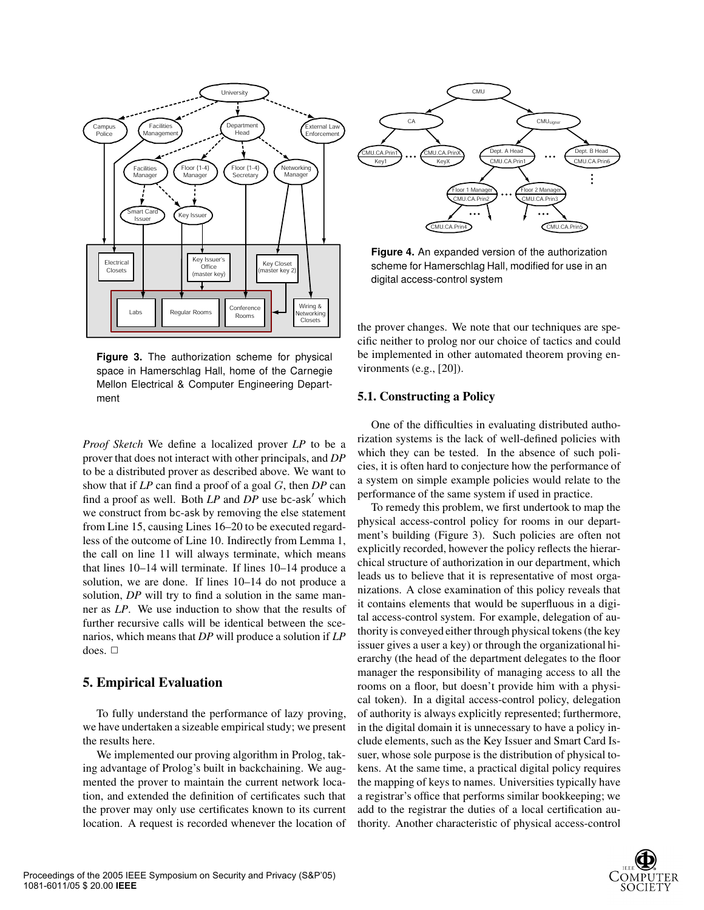

**Figure 3.** The authorization scheme for physical space in Hamerschlag Hall, home of the Carnegie Mellon Electrical & Computer Engineering Department

*Proof Sketch* We define a localized prover *LP* to be a prover that does not interact with other principals, and *DP* to be a distributed prover as described above. We want to show that if *LP* can find a proof of a goal G, then *DP* can find a proof as well. Both *LP* and *DP* use bc-ask' which we construct from bc-ask by removing the else statement from Line 15, causing Lines 16–20 to be executed regardless of the outcome of Line 10. Indirectly from Lemma 1, the call on line 11 will always terminate, which means that lines 10–14 will terminate. If lines 10–14 produce a solution, we are done. If lines 10–14 do not produce a solution, *DP* will try to find a solution in the same manner as *LP*. We use induction to show that the results of further recursive calls will be identical between the scenarios, which means that *DP* will produce a solution if *LP* does.  $\square$ 

# **5. Empirical Evaluation**

To fully understand the performance of lazy proving, we have undertaken a sizeable empirical study; we present the results here.

We implemented our proving algorithm in Prolog, taking advantage of Prolog's built in backchaining. We augmented the prover to maintain the current network location, and extended the definition of certificates such that the prover may only use certificates known to its current location. A request is recorded whenever the location of



**Figure 4.** An expanded version of the authorization scheme for Hamerschlag Hall, modified for use in an digital access-control system

the prover changes. We note that our techniques are specific neither to prolog nor our choice of tactics and could be implemented in other automated theorem proving environments (e.g., [20]).

# **5.1. Constructing a Policy**

One of the difficulties in evaluating distributed authorization systems is the lack of well-defined policies with which they can be tested. In the absence of such policies, it is often hard to conjecture how the performance of a system on simple example policies would relate to the performance of the same system if used in practice.

To remedy this problem, we first undertook to map the physical access-control policy for rooms in our department's building (Figure 3). Such policies are often not explicitly recorded, however the policy reflects the hierarchical structure of authorization in our department, which leads us to believe that it is representative of most organizations. A close examination of this policy reveals that it contains elements that would be superfluous in a digital access-control system. For example, delegation of authority is conveyed either through physical tokens (the key issuer gives a user a key) or through the organizational hierarchy (the head of the department delegates to the floor manager the responsibility of managing access to all the rooms on a floor, but doesn't provide him with a physical token). In a digital access-control policy, delegation of authority is always explicitly represented; furthermore, in the digital domain it is unnecessary to have a policy include elements, such as the Key Issuer and Smart Card Issuer, whose sole purpose is the distribution of physical tokens. At the same time, a practical digital policy requires the mapping of keys to names. Universities typically have a registrar's office that performs similar bookkeeping; we add to the registrar the duties of a local certification authority. Another characteristic of physical access-control

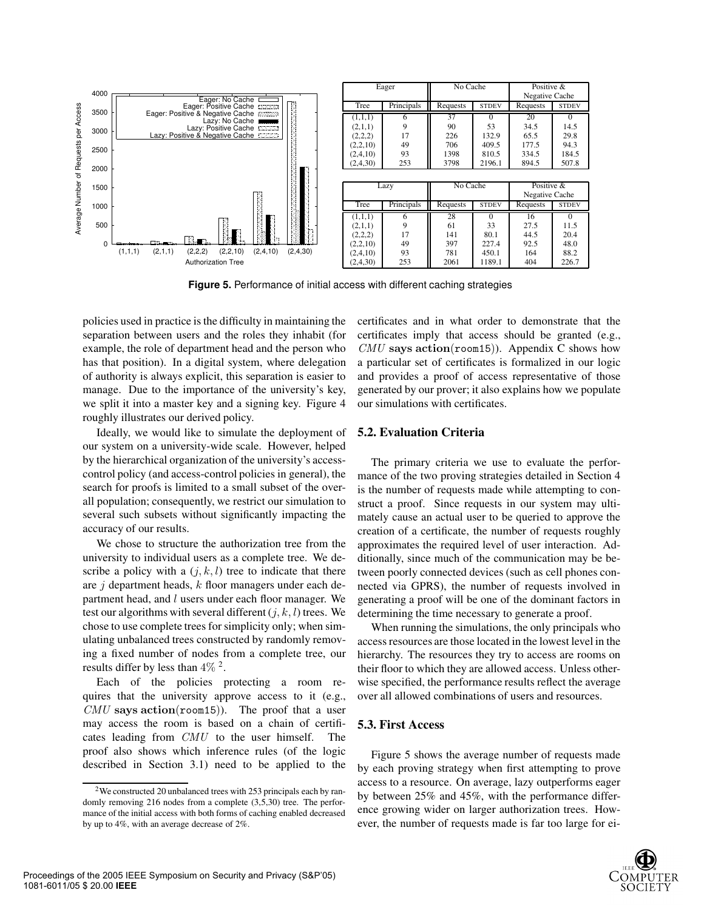

**Figure 5.** Performance of initial access with different caching strategies

policies used in practice is the difficulty in maintaining the separation between users and the roles they inhabit (for example, the role of department head and the person who has that position). In a digital system, where delegation of authority is always explicit, this separation is easier to manage. Due to the importance of the university's key, we split it into a master key and a signing key. Figure 4 roughly illustrates our derived policy.

Ideally, we would like to simulate the deployment of our system on a university-wide scale. However, helped by the hierarchical organization of the university's accesscontrol policy (and access-control policies in general), the search for proofs is limited to a small subset of the overall population; consequently, we restrict our simulation to several such subsets without significantly impacting the accuracy of our results.

We chose to structure the authorization tree from the university to individual users as a complete tree. We describe a policy with a  $(j, k, l)$  tree to indicate that there are  $i$  department heads,  $k$  floor managers under each department head, and *l* users under each floor manager. We test our algorithms with several different  $(j, k, l)$  trees. We chose to use complete trees for simplicity only; when simulating unbalanced trees constructed by randomly removing a fixed number of nodes from a complete tree, our results differ by less than  $4\%$  <sup>2</sup>.

Each of the policies protecting a room requires that the university approve access to it (e.g., CMU **says action**(room15)). The proof that a user may access the room is based on a chain of certificates leading from CMU to the user himself. The proof also shows which inference rules (of the logic described in Section 3.1) need to be applied to the certificates and in what order to demonstrate that the certificates imply that access should be granted (e.g., CMU **says action**(room15)). Appendix C shows how a particular set of certificates is formalized in our logic and provides a proof of access representative of those generated by our prover; it also explains how we populate our simulations with certificates.

# **5.2. Evaluation Criteria**

The primary criteria we use to evaluate the performance of the two proving strategies detailed in Section 4 is the number of requests made while attempting to construct a proof. Since requests in our system may ultimately cause an actual user to be queried to approve the creation of a certificate, the number of requests roughly approximates the required level of user interaction. Additionally, since much of the communication may be between poorly connected devices (such as cell phones connected via GPRS), the number of requests involved in generating a proof will be one of the dominant factors in determining the time necessary to generate a proof.

When running the simulations, the only principals who access resources are those located in the lowest level in the hierarchy. The resources they try to access are rooms on their floor to which they are allowed access. Unless otherwise specified, the performance results reflect the average over all allowed combinations of users and resources.

#### **5.3. First Access**

Figure 5 shows the average number of requests made by each proving strategy when first attempting to prove access to a resource. On average, lazy outperforms eager by between 25% and 45%, with the performance difference growing wider on larger authorization trees. However, the number of requests made is far too large for ei-



<sup>2</sup>We constructed 20 unbalanced trees with 253 principals each by randomly removing 216 nodes from a complete (3,5,30) tree. The performance of the initial access with both forms of caching enabled decreased by up to 4%, with an average decrease of 2%.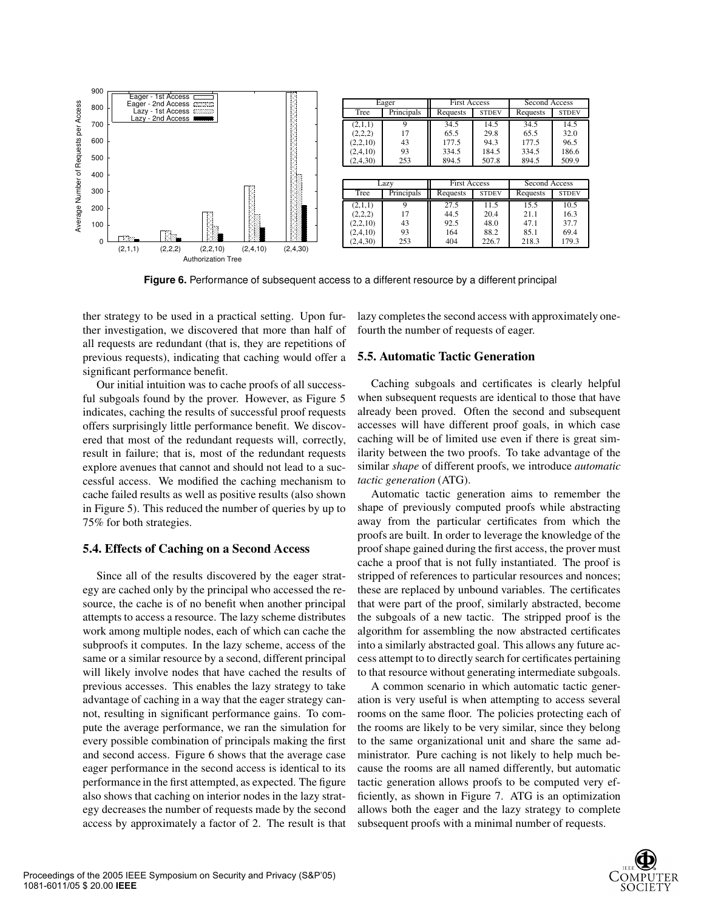

| Eager    |            | <b>First Access</b> |              | Second Access |              |
|----------|------------|---------------------|--------------|---------------|--------------|
| Tree     | Principals | Requests            | <b>STDEV</b> | Requests      | <b>STDEV</b> |
| (2,1,1)  | 9          | 34.5                | 14.5         | 34.5          | 14.5         |
| (2,2,2)  | 17         | 65.5                | 29.8         | 65.5          | 32.0         |
| (2,2,10) | 43         | 177.5               | 94.3         | 177.5         | 96.5         |
| (2,4,10) | 93         | 334.5               | 184.5        | 334.5         | 186.6        |
| (2,4,30) | 253        | 894.5               | 507.8        | 894.5         | 509.9        |
|          |            |                     |              |               |              |
| Lazy     |            | <b>First Access</b> |              | Second Access |              |
| Tree     | Principals | Requests            | <b>STDEV</b> | Requests      | <b>STDEV</b> |
| (2,1,1)  | 9          | 27.5                | 11.5         | 15.5          | 10.5         |
| (2,2,2)  | 17         | 44.5                | 20.4         | 21.1          | 16.3         |
| (2,2,10) | 43         | 92.5                | 48.0         | 47.1          | 37.7         |
| (2,4,10) | 93         | 164                 | 88.2         | 85.1          | 69.4         |
| (2,4,30) | 253        | 404<br>226.7        |              | 218.3         | 179.3        |
|          |            |                     |              |               |              |

**Figure 6.** Performance of subsequent access to a different resource by a different principal

ther strategy to be used in a practical setting. Upon further investigation, we discovered that more than half of all requests are redundant (that is, they are repetitions of previous requests), indicating that caching would offer a significant performance benefit.

Our initial intuition was to cache proofs of all successful subgoals found by the prover. However, as Figure 5 indicates, caching the results of successful proof requests offers surprisingly little performance benefit. We discovered that most of the redundant requests will, correctly, result in failure; that is, most of the redundant requests explore avenues that cannot and should not lead to a successful access. We modified the caching mechanism to cache failed results as well as positive results (also shown in Figure 5). This reduced the number of queries by up to 75% for both strategies.

### **5.4. Effects of Caching on a Second Access**

Since all of the results discovered by the eager strategy are cached only by the principal who accessed the resource, the cache is of no benefit when another principal attempts to access a resource. The lazy scheme distributes work among multiple nodes, each of which can cache the subproofs it computes. In the lazy scheme, access of the same or a similar resource by a second, different principal will likely involve nodes that have cached the results of previous accesses. This enables the lazy strategy to take advantage of caching in a way that the eager strategy cannot, resulting in significant performance gains. To compute the average performance, we ran the simulation for every possible combination of principals making the first and second access. Figure 6 shows that the average case eager performance in the second access is identical to its performance in the first attempted, as expected. The figure also shows that caching on interior nodes in the lazy strategy decreases the number of requests made by the second access by approximately a factor of 2. The result is that

lazy completes the second access with approximately onefourth the number of requests of eager.

# **5.5. Automatic Tactic Generation**

Caching subgoals and certificates is clearly helpful when subsequent requests are identical to those that have already been proved. Often the second and subsequent accesses will have different proof goals, in which case caching will be of limited use even if there is great similarity between the two proofs. To take advantage of the similar *shape* of different proofs, we introduce *automatic tactic generation* (ATG).

Automatic tactic generation aims to remember the shape of previously computed proofs while abstracting away from the particular certificates from which the proofs are built. In order to leverage the knowledge of the proof shape gained during the first access, the prover must cache a proof that is not fully instantiated. The proof is stripped of references to particular resources and nonces; these are replaced by unbound variables. The certificates that were part of the proof, similarly abstracted, become the subgoals of a new tactic. The stripped proof is the algorithm for assembling the now abstracted certificates into a similarly abstracted goal. This allows any future access attempt to to directly search for certificates pertaining to that resource without generating intermediate subgoals.

A common scenario in which automatic tactic generation is very useful is when attempting to access several rooms on the same floor. The policies protecting each of the rooms are likely to be very similar, since they belong to the same organizational unit and share the same administrator. Pure caching is not likely to help much because the rooms are all named differently, but automatic tactic generation allows proofs to be computed very efficiently, as shown in Figure 7. ATG is an optimization allows both the eager and the lazy strategy to complete subsequent proofs with a minimal number of requests.

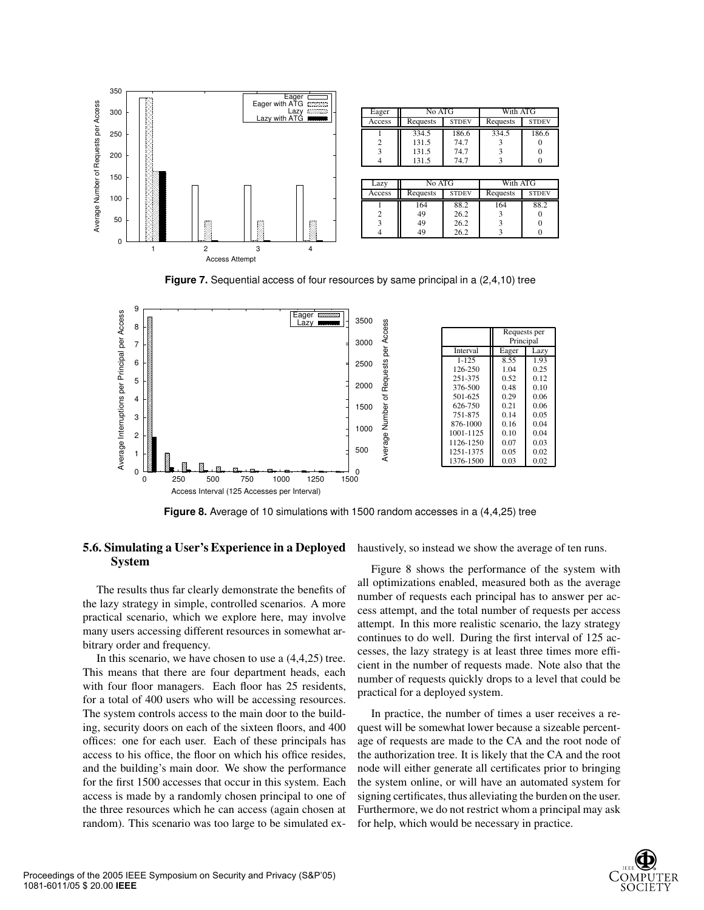

| ayer with Alta taata a |              |        |          |              |          |              |
|------------------------|--------------|--------|----------|--------------|----------|--------------|
| Lazy 6536633           |              | Eager  | No ATG   |              | With ATG |              |
| Lazy with ATG          | and the same | Access | Requests | <b>STDEV</b> | Requests | <b>STDEV</b> |
|                        |              |        | 334.5    | 186.6        | 334.5    | 186.6        |
|                        |              |        | 131.5    | 74.7         |          |              |
|                        |              | 3      | 131.5    | 74.7         |          |              |
|                        |              | 4      | 131.5    | 74.7         |          | $\Omega$     |
|                        |              |        |          |              |          |              |
|                        |              | Lazy   | No ATG   |              | With ATG |              |
|                        |              |        |          |              |          |              |
|                        |              | Access | Requests | <b>STDEV</b> | Requests | <b>STDEV</b> |
|                        |              |        | 164      | 88.2         | 164      | 88.2         |
|                        |              | 2      | 49       | 26.2         |          |              |
|                        |              | 3      | 49       | 26.2         |          | 0            |
| ana.<br>SSS 1          |              | 4      | 49       | 26.2         |          | 0            |

**Figure 7.** Sequential access of four resources by same principal in a  $(2,4,10)$  tree



**Figure 8.** Average of 10 simulations with 1500 random accesses in a (4,4,25) tree

# **5.6. Simulating a User's Experience in a Deployed System**

haustively, so instead we show the average of ten runs.

The results thus far clearly demonstrate the benefits of the lazy strategy in simple, controlled scenarios. A more practical scenario, which we explore here, may involve many users accessing different resources in somewhat arbitrary order and frequency.

In this scenario, we have chosen to use a (4,4,25) tree. This means that there are four department heads, each with four floor managers. Each floor has 25 residents, for a total of 400 users who will be accessing resources. The system controls access to the main door to the building, security doors on each of the sixteen floors, and 400 offices: one for each user. Each of these principals has access to his office, the floor on which his office resides, and the building's main door. We show the performance for the first 1500 accesses that occur in this system. Each access is made by a randomly chosen principal to one of the three resources which he can access (again chosen at random). This scenario was too large to be simulated ex-

Figure 8 shows the performance of the system with all optimizations enabled, measured both as the average number of requests each principal has to answer per access attempt, and the total number of requests per access attempt. In this more realistic scenario, the lazy strategy continues to do well. During the first interval of 125 accesses, the lazy strategy is at least three times more efficient in the number of requests made. Note also that the number of requests quickly drops to a level that could be practical for a deployed system.

In practice, the number of times a user receives a request will be somewhat lower because a sizeable percentage of requests are made to the CA and the root node of the authorization tree. It is likely that the CA and the root node will either generate all certificates prior to bringing the system online, or will have an automated system for signing certificates, thus alleviating the burden on the user. Furthermore, we do not restrict whom a principal may ask for help, which would be necessary in practice.

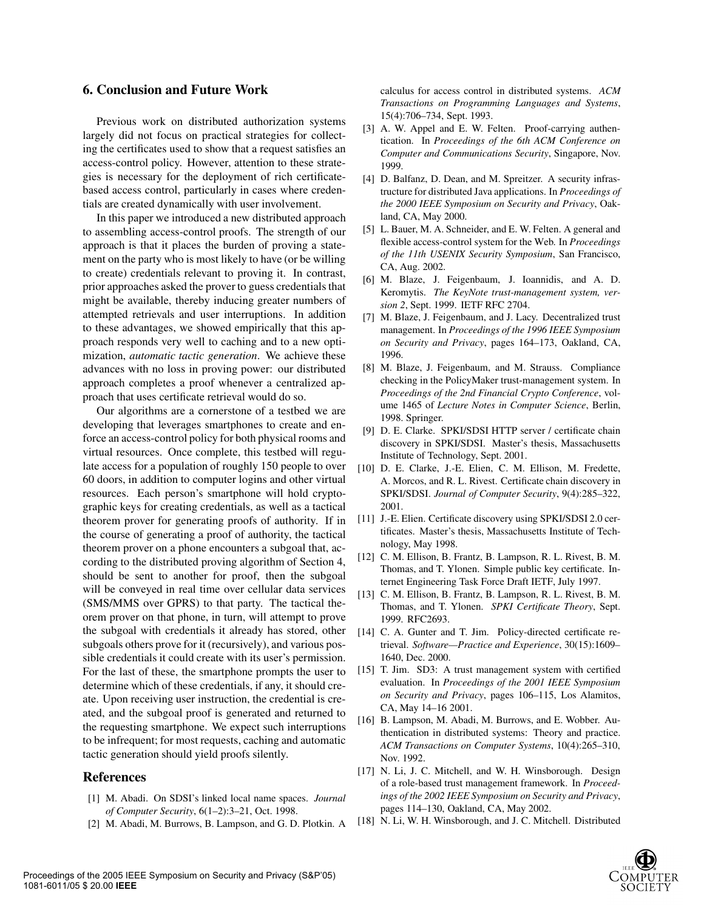# **6. Conclusion and Future Work**

Previous work on distributed authorization systems largely did not focus on practical strategies for collecting the certificates used to show that a request satisfies an access-control policy. However, attention to these strategies is necessary for the deployment of rich certificatebased access control, particularly in cases where credentials are created dynamically with user involvement.

In this paper we introduced a new distributed approach to assembling access-control proofs. The strength of our approach is that it places the burden of proving a statement on the party who is most likely to have (or be willing to create) credentials relevant to proving it. In contrast, prior approaches asked the prover to guess credentials that might be available, thereby inducing greater numbers of attempted retrievals and user interruptions. In addition to these advantages, we showed empirically that this approach responds very well to caching and to a new optimization, *automatic tactic generation*. We achieve these advances with no loss in proving power: our distributed approach completes a proof whenever a centralized approach that uses certificate retrieval would do so.

Our algorithms are a cornerstone of a testbed we are developing that leverages smartphones to create and enforce an access-control policy for both physical rooms and virtual resources. Once complete, this testbed will regulate access for a population of roughly 150 people to over 60 doors, in addition to computer logins and other virtual resources. Each person's smartphone will hold cryptographic keys for creating credentials, as well as a tactical theorem prover for generating proofs of authority. If in the course of generating a proof of authority, the tactical theorem prover on a phone encounters a subgoal that, according to the distributed proving algorithm of Section 4, should be sent to another for proof, then the subgoal will be conveyed in real time over cellular data services (SMS/MMS over GPRS) to that party. The tactical theorem prover on that phone, in turn, will attempt to prove the subgoal with credentials it already has stored, other subgoals others prove for it (recursively), and various possible credentials it could create with its user's permission. For the last of these, the smartphone prompts the user to determine which of these credentials, if any, it should create. Upon receiving user instruction, the credential is created, and the subgoal proof is generated and returned to the requesting smartphone. We expect such interruptions to be infrequent; for most requests, caching and automatic tactic generation should yield proofs silently.

### **References**

- [1] M. Abadi. On SDSI's linked local name spaces. *Journal of Computer Security*, 6(1–2):3–21, Oct. 1998.
- [2] M. Abadi, M. Burrows, B. Lampson, and G. D. Plotkin. A

calculus for access control in distributed systems. *ACM Transactions on Programming Languages and Systems*, 15(4):706–734, Sept. 1993.

- [3] A. W. Appel and E. W. Felten. Proof-carrying authentication. In *Proceedings of the 6th ACM Conference on Computer and Communications Security*, Singapore, Nov. 1999.
- [4] D. Balfanz, D. Dean, and M. Spreitzer. A security infrastructure for distributed Java applications. In *Proceedings of the 2000 IEEE Symposium on Security and Privacy*, Oakland, CA, May 2000.
- [5] L. Bauer, M. A. Schneider, and E. W. Felten. A general and flexible access-control system for the Web. In *Proceedings of the 11th USENIX Security Symposium*, San Francisco, CA, Aug. 2002.
- [6] M. Blaze, J. Feigenbaum, J. Ioannidis, and A. D. Keromytis. *The KeyNote trust-management system, version 2*, Sept. 1999. IETF RFC 2704.
- [7] M. Blaze, J. Feigenbaum, and J. Lacy. Decentralized trust management. In *Proceedings of the 1996 IEEE Symposium on Security and Privacy*, pages 164–173, Oakland, CA, 1996.
- [8] M. Blaze, J. Feigenbaum, and M. Strauss. Compliance checking in the PolicyMaker trust-management system. In *Proceedings of the 2nd Financial Crypto Conference*, volume 1465 of *Lecture Notes in Computer Science*, Berlin, 1998. Springer.
- [9] D. E. Clarke. SPKI/SDSI HTTP server / certificate chain discovery in SPKI/SDSI. Master's thesis, Massachusetts Institute of Technology, Sept. 2001.
- [10] D. E. Clarke, J.-E. Elien, C. M. Ellison, M. Fredette, A. Morcos, and R. L. Rivest. Certificate chain discovery in SPKI/SDSI. *Journal of Computer Security*, 9(4):285–322, 2001.
- [11] J.-E. Elien. Certificate discovery using SPKI/SDSI 2.0 certificates. Master's thesis, Massachusetts Institute of Technology, May 1998.
- [12] C. M. Ellison, B. Frantz, B. Lampson, R. L. Rivest, B. M. Thomas, and T. Ylonen. Simple public key certificate. Internet Engineering Task Force Draft IETF, July 1997.
- [13] C. M. Ellison, B. Frantz, B. Lampson, R. L. Rivest, B. M. Thomas, and T. Ylonen. *SPKI Certificate Theory*, Sept. 1999. RFC2693.
- [14] C. A. Gunter and T. Jim. Policy-directed certificate retrieval. *Software—Practice and Experience*, 30(15):1609– 1640, Dec. 2000.
- [15] T. Jim. SD3: A trust management system with certified evaluation. In *Proceedings of the 2001 IEEE Symposium on Security and Privacy*, pages 106–115, Los Alamitos, CA, May 14–16 2001.
- [16] B. Lampson, M. Abadi, M. Burrows, and E. Wobber. Authentication in distributed systems: Theory and practice. *ACM Transactions on Computer Systems*, 10(4):265–310, Nov. 1992.
- [17] N. Li, J. C. Mitchell, and W. H. Winsborough. Design of a role-based trust management framework. In *Proceedings of the 2002 IEEE Symposium on Security and Privacy*, pages 114–130, Oakland, CA, May 2002.
- [18] N. Li, W. H. Winsborough, and J. C. Mitchell. Distributed

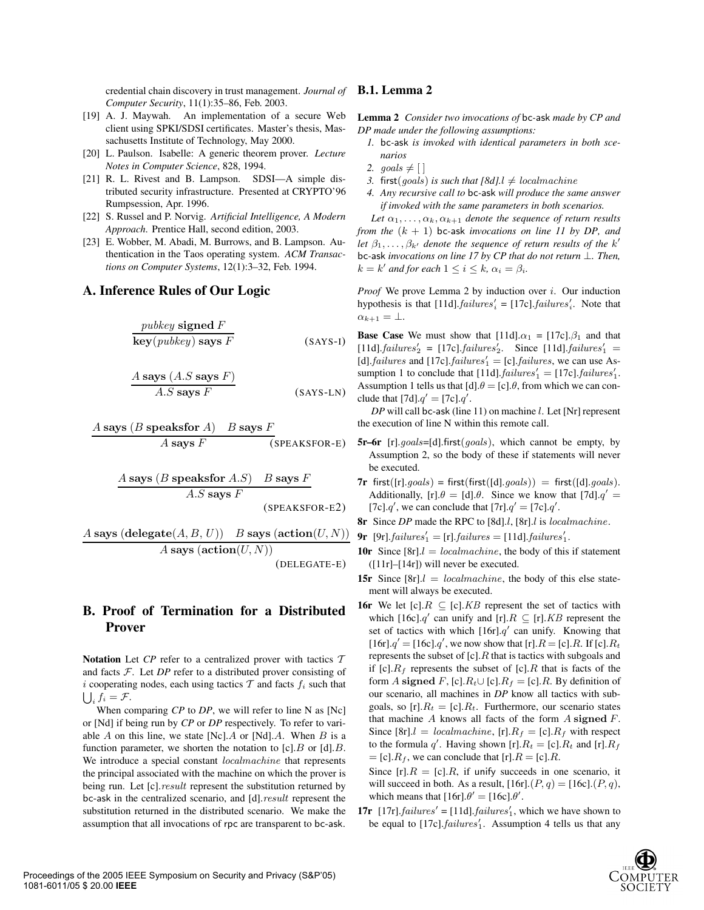credential chain discovery in trust management. *Journal of* **B.1. Lemma 2** *Computer Security*, 11(1):35–86, Feb. 2003.

- [19] A. J. Maywah. An implementation of a secure Web client using SPKI/SDSI certificates. Master's thesis, Massachusetts Institute of Technology, May 2000.
- [20] L. Paulson. Isabelle: A generic theorem prover. *Lecture Notes in Computer Science*, 828, 1994.
- [21] R. L. Rivest and B. Lampson. SDSI-A simple distributed security infrastructure. Presented at CRYPTO'96 Rumpsession, Apr. 1996.
- [22] S. Russel and P. Norvig. *Artificial Intelligence, A Modern Approach*. Prentice Hall, second edition, 2003.
- [23] E. Wobber, M. Abadi, M. Burrows, and B. Lampson. Authentication in the Taos operating system. *ACM Transactions on Computer Systems*, 12(1):3–32, Feb. 1994.

# **A. Inference Rules of Our Logic**

$$
pubkey \text{ signed } F
$$
  
key $(pubkey)$  says  $F$  (SAYS-I)

$$
\frac{A \text{ says } (A.S \text{ says } F)}{A.S \text{ says } F}
$$
 (SAYS-LN)

$$
\frac{A \text{ says } (B \text{ speakers for } A) \quad B \text{ says } F}{A \text{ says } F}
$$
 (SPEAKSFOR-E)

$$
\frac{A \text{ says } (B \text{ speakers} for A.S) \quad B \text{ says } F}{A.S \text{ says } F}
$$
\n
$$
(SPEAKSFOR-E2)
$$

$$
\frac{A \text{ says } (\text{delegate}(A, B, U)) - B \text{ says } (\text{action}(U, N))}{A \text{ says } (\text{action}(U, N))}
$$
\n
$$
(DELEGATE-E)
$$

# **B. Proof of Termination for a Distributed Prover**

**Notation** Let  $\mathbb{C}P$  refer to a centralized prover with tactics  $\mathcal{T}$ and facts  $F$ . Let  $DP$  refer to a distributed prover consisting of i cooperating nodes, each using tactics  $\mathcal T$  and facts  $f_i$  such that  $\bigcup_i f_i = \mathcal{F}.$ 

When comparing *CP* to *DP*, we will refer to line N as [Nc] or [Nd] if being run by *CP* or *DP* respectively. To refer to variable A on this line, we state [Nc]. A or [Nd]. A. When B is a function parameter, we shorten the notation to  $[c]$ . B or  $[d]$ . B. We introduce a special constant localmachine that represents the principal associated with the machine on which the prover is being run. Let [c].*result* represent the substitution returned by bc-ask in the centralized scenario, and [d].result represent the substitution returned in the distributed scenario. We make the assumption that all invocations of rpc are transparent to bc-ask.

**Lemma 2** *Consider two invocations of* bc*-*ask *made by CP and DP made under the following assumptions:*

- *1.* bc*-*ask *is invoked with identical parameters in both scenarios*
- 2. goals  $\neq$  []
- *3.* first(goals) is such that  $[8d]$ . $l \neq local machine$
- *4. Any recursive call to* bc*-*ask *will produce the same answer if invoked with the same parameters in both scenarios.*

Let  $\alpha_1, \ldots, \alpha_k, \alpha_{k+1}$  *denote the sequence of return results from the* (k + 1) bc*-*ask *invocations on line 11 by DP, and* let  $\beta_1,\ldots,\beta_{k'}$  denote the sequence of return results of the  $k'$ bc*-*ask *invocations on line 17 by CP that do not return* <sup>⊥</sup>*. Then,*  $k = k'$  and for each  $1 \leq i \leq k$ ,  $\alpha_i = \beta_i$ .

*Proof* We prove Lemma 2 by induction over *i*. Our induction hypothesis is that [11d].*failures'*<sub>i</sub> = [17c].*failures'*<sub>i</sub>. Note that  $\alpha_{k+1} = \perp$ .

**Base Case** We must show that  $[11d] \cdot \alpha_1 = [17c] \cdot \beta_1$  and that [11d].*failures'*<sub>2</sub> = [17c].*failures'*<sub>2</sub>. Since [11d].*failures'*<sub>1</sub> = [4].<br>[4] *failures* and [17c] *failures'*<sub>1</sub> = [c] *failures*, we can use As-[d].*failures* and [17c].*failures*<sup>'</sup><sub>1</sub> = [c].*failures*, we can use As-<br>sumption 1 to conclude that [11d] *failures'*, - [17c] *failures'*. sumption 1 to conclude that  $[11d]$ .  $failures'_1 = [17c]$ .  $failures'_1$ .<br>Assumption 1 tells us that  $[d]$   $\theta$  =  $[c]$   $\theta$  from which we can con-Assumption 1 tells us that  $[d]$ . $\theta = [c]$ . $\theta$ , from which we can conclude that  $[7d]$ . $q' = [7c]$ . $q'$ .

*DP* will call bc-ask (line 11) on machine l. Let [Nr] represent the execution of line N within this remote call.

- **5r–6r** [r].goals=[d].first(goals), which cannot be empty, by Assumption 2, so the body of these if statements will never be executed.
- **7r** first( $[r]$ .goals) = first( $f$ irst( $[d]$ .goals)) = first( $[d]$ .goals). Additionally, [r]. $\theta = [d] \theta$ . Since we know that [7d]. $q' =$ [7c].q', we can conclude that  $[7r]$ . $q' = [7c]$ .q'.
- **8r** Since *DP* made the RPC to [8d].l, [8r].<sup>l</sup> is localmachine.
- **9r** [9r].*failures'*<sub>1</sub> = [r].*failures* = [11d].*failures'*<sub>1</sub>.
- **10r** Since  $[8r]$ . $l = localmachine$ , the body of this if statement  $([11r]–[14r])$  will never be executed.
- **15r** Since  $[8r]$ . $l = localmachine$ , the body of this else statement will always be executed.
- **16r** We let  $[c]$ .  $R \subseteq [c]$ .  $KB$  represent the set of tactics with which [16c]. $q'$  can unify and [r]. $R \subseteq [r]$ . KB represent the set of tactics with which [16r]  $q'$  can unify Knowing that set of tactics with which  $[16r]$ . $q'$  can unify. Knowing that [16r]. $q' = [16c]$ . $q'$ , we now show that [r]. $R = [c]$ . R. If [c]. $R_t$ represents the subset of  $[c]$ .  $R$  that is tactics with subgoals and if  $[c]$ .  $R_f$  represents the subset of  $[c]$ .  $R$  that is facts of the form A **signed** F, [c]. $R_t \cup$  [c]. $R_f =$  [c]. $R$ . By definition of our scenario, all machines in *DP* know all tactics with subgoals, so  $[r]R_t = [c]R_t$ . Furthermore, our scenario states that machine A knows all facts of the form A **signed** F. Since [8r]. $l = local machine$ , [r]. $R_f = [c]$ . $R_f$  with respect to the formula  $q'$ . Having shown [r]. $R_t = [c]$ . $R_t$  and [r]. $R_f$  $=[c].R_f$ , we can conclude that  $[r].R = [c].R$ .

Since  $[r]$ . $R = [c]$ . $R$ , if unify succeeds in one scenario, it will succeed in both. As a result,  $[16r] \cdot (P, q) = [16c] \cdot (P, q)$ , which means that  $[16r] \cdot \theta' = [16c] \cdot \theta'$ .

**17r** [17r].*failures'* = [11d].*failures'*, which we have shown to be equal to  $[17c]$  *failures'*. Assumption A tells us that any be equal to  $[17c]$ .  $failures'_1$ . Assumption 4 tells us that any

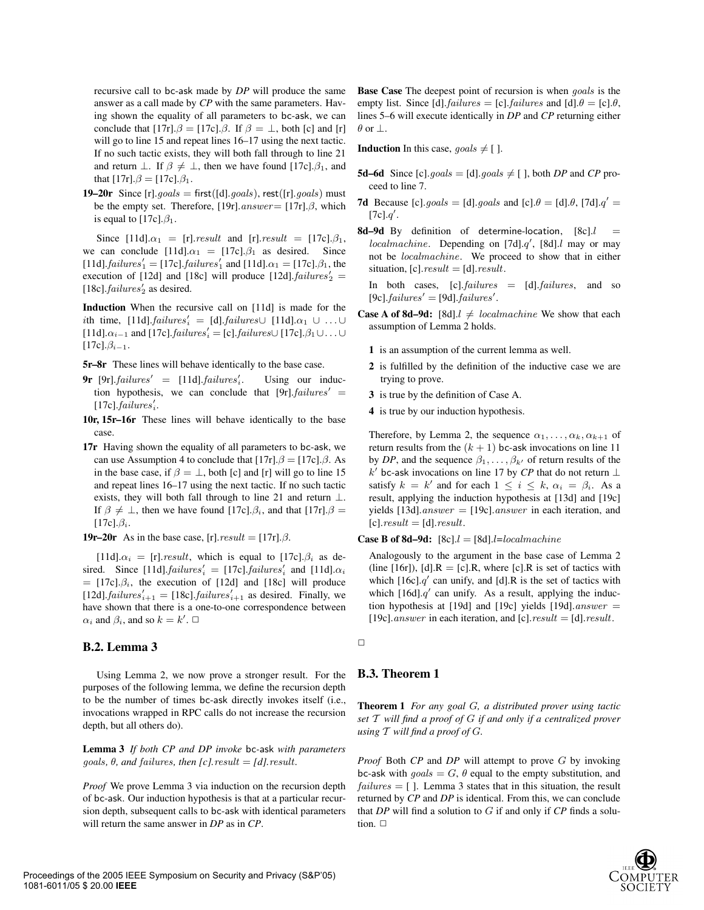recursive call to bc-ask made by *DP* will produce the same answer as a call made by *CP* with the same parameters. Having shown the equality of all parameters to bc-ask, we can conclude that  $[17r] \cdot \beta = [17c] \cdot \beta$ . If  $\beta = \bot$ , both  $[c]$  and  $[r]$ will go to line 15 and repeat lines  $16-17$  using the next tactic. If no such tactic exists, they will both fall through to line 21 and return  $\perp$ . If  $\beta \neq \perp$ , then we have found [17c]. $\beta_1$ , and that  $[17r] \cdot \beta = [17c] \cdot \beta_1$ .

**19–20r** Since  $[r]$ .goals = first( $[d]$ .goals), rest( $[r]$ .goals) must be the empty set. Therefore,  $[19r]$ .*answer* =  $[17r]$ .*β*, which is equal to [17c]. $\beta_1$ .

Since  $[11d] \cdot \alpha_1 = [r] \cdot result$  and  $[r] \cdot result = [17c] \cdot \beta_1$ , we can conclude [11d]. $\alpha_1 = [17c] \beta_1$  as desired. Since [11d].*failures*<sup>1</sup><sub>1</sub> = [17c].*failures*<sup>1</sup><sub>1</sub> and [11d]. $\alpha_1 =$  [17c]. $\beta_1$ , the execution of [12d] and [18c] will produce [12d].*failures*<sup>'</sup><sub>2</sub> =  $\frac{1}{2}$ [18c].*failures*<sup> $\prime$ </sup><sub>2</sub> as desired.

**Induction** When the recursive call on [11d] is made for the ith time, [11d].*failures'<sub>i</sub>* = [d].*failures*∪ [11d]. $\alpha_1 \cup ... \cup$ <br>[11d] $\alpha_{i+1}$  and [17c] *failures'* = [c] *failures*| [17c]  $\beta_{i+1}$  | [1 [11d]. $\alpha_{i-1}$  and [17c].*failures'*<sub>i</sub> = [c].*failures*∪ [17c]. $\beta_1 \cup ... \cup$  $[17c]$ . $\beta_{i-1}$ .

**5r–8r** These lines will behave identically to the base case.

- **9r** [9r].*failures'* = [11d].*failures'*<sub>i</sub> tion bypothesis we can conclude Using our induction hypothesis, we can conclude that  $[9r]$ . *failures'* = [17c].failures'<sub>i</sub>.
- **10r, 15r–16r** These lines will behave identically to the base case.
- 17r Having shown the equality of all parameters to bc-ask, we can use Assumption 4 to conclude that  $[17r] \cdot \beta = [17c] \cdot \beta$ . As in the base case, if  $\beta = \perp$ , both [c] and [r] will go to line 15 and repeat lines 16–17 using the next tactic. If no such tactic exists, they will both fall through to line 21 and return  $\bot$ . If  $\beta \neq \bot$ , then we have found [17c]. $\beta_i$ , and that [17r]. $\beta =$  $[17c]$ . $\beta_i$ .

**19r–20r** As in the base case,  $[r]$ .result =  $[17r]$ . $\beta$ .

[11d]. $\alpha_i$  = [r].*result*, which is equal to [17c]. $\beta_i$  as desired. Since [11d].*failures'*<sub>i</sub> = [17c].*failures'*<sub>i</sub> and [11d]. $\alpha_i$ <br>- [17c].*β*. the execution of [12d] and [18c] will produce  $=$  [17c]. $\beta_i$ , the execution of [12d] and [18c] will produce [12d].*failures*<sup> $'_{i+1}$ </sup> = [18c].*failures* $'_{i+1}$  as desired. Finally, we have shown that there is a one-to-one correspondence between have shown that there is a one-to-one correspondence between  $\alpha_i$  and  $\beta_i$ , and so  $k = k'$ .  $\Box$ 

#### **B.2. Lemma 3**

Using Lemma 2, we now prove a stronger result. For the purposes of the following lemma, we define the recursion depth to be the number of times bc-ask directly invokes itself (i.e., invocations wrapped in RPC calls do not increase the recursion depth, but all others do).

**Lemma 3** *If both CP and DP invoke* bc*-*ask *with parameters* goals,  $\theta$ , and failures, then [c]. result = [d]. result.

*Proof* We prove Lemma 3 via induction on the recursion depth of bc-ask. Our induction hypothesis is that at a particular recursion depth, subsequent calls to bc-ask with identical parameters will return the same answer in *DP* as in *CP*.

**Base Case** The deepest point of recursion is when goals is the empty list. Since [d].*failures* = [c].*failures* and  $[d] \theta = [c] \theta$ , lines 5–6 will execute identically in *DP* and *CP* returning either  $\theta$  or  $\perp$ .

**Induction** In this case,  $goals \neq [$ ].

- **5d–6d** Since  $[c]$ .goals =  $[d]$ .goals  $\neq$  [], both *DP* and *CP* proceed to line 7.
- **7d** Because [c].goals = [d].goals and [c]. $\theta = [d] \cdot \theta$ , [7d]. $q' =$ [7c]. $q'$ .
- **8d–9d** By definition of determine-location,  $[8c]$ . $l =$ localmachine. Depending on  $[7d]$ . $q'$ ,  $[8d]$ .l may or may<br>not be localmachine. We proceed to show that in either not be localmachine. We proceed to show that in either situation,  $[c]$ . *result* =  $[d]$ . *result*.

In both cases,  $[c]$ . *failures*  $=$   $[d]$ . *failures*, and so  $[9c]$ .*failures'* =  $[9d]$ .*failures'*.

- **Case A of 8d–9d:** [8d]. $l \neq localmachine$  We show that each assumption of Lemma 2 holds.
	- **1** is an assumption of the current lemma as well.
	- **2** is fulfilled by the definition of the inductive case we are trying to prove.
	- **3** is true by the definition of Case A.
	- **4** is true by our induction hypothesis.

Therefore, by Lemma 2, the sequence  $\alpha_1, \ldots, \alpha_k, \alpha_{k+1}$  of return results from the  $(k + 1)$  bc-ask invocations on line 11 by *DP*, and the sequence  $\beta_1, \ldots, \beta_{k'}$  of return results of the  $k'$  bc-ask invocations on line 17 by *CP* that do not return  $\perp$ satisfy  $k = k'$  and for each  $1 \le i \le k$ ,  $\alpha_i = \beta_i$ . As a result, applying the induction hypothesis at [13d] and [19c] yields [13d]. $answer =$  [19c]. $answer$  in each iteration, and  $[c].result = [d].result.$ 

**Case B of 8d–9d:**  $[8c]$ . $l = [8d]$ . $l = local machine$ 

Analogously to the argument in the base case of Lemma 2 (line [16r]), [d]. $R = [c]$ . $R$ , where [c]. $R$  is set of tactics with which  $[16c]$ . $q'$  can unify, and [d].R is the set of tactics with which [16d]. $q'$  can unify. As a result, applying the induction hypothesis at [19d] and [19c] yields [19d]. $answer =$ [19c].*answer* in each iteration, and  $[c]$ .*result* = [d].*result*.

# **B.3. Theorem 1**

**Theorem 1** *For any goal* G*, a distributed prover using tactic set* T *will find a proof of* G *if and only if a centralized prover using*  $T$  *will find a proof of G.* 

*Proof* Both *CP* and *DP* will attempt to prove G by invoking bc-ask with  $qoals = G$ ,  $\theta$  equal to the empty substitution, and  $failures = [ ]$ . Lemma 3 states that in this situation, the result returned by *CP* and *DP* is identical. From this, we can conclude that *DP* will find a solution to G if and only if *CP* finds a solution.  $\square$ 



 $\Box$